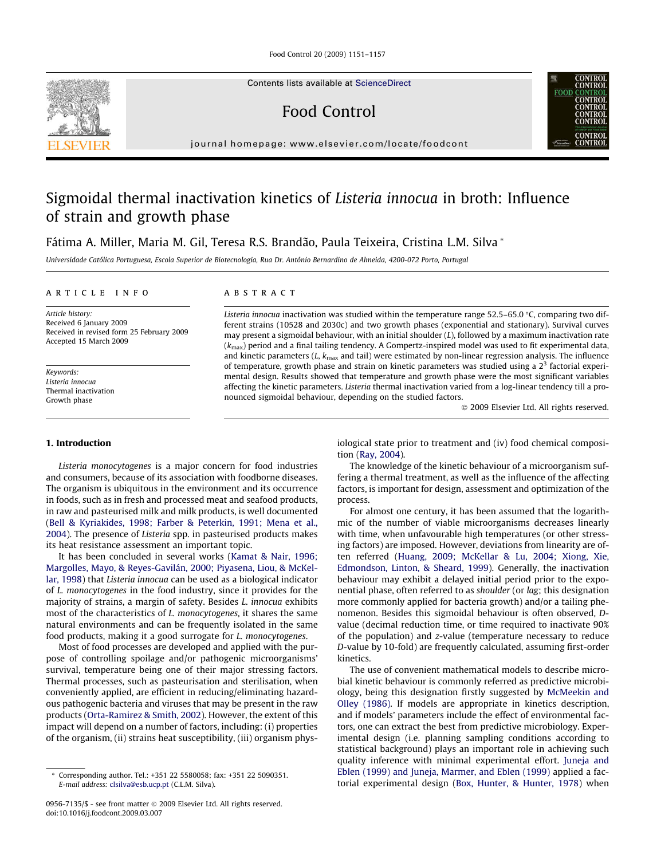Food Control 20 (2009) 1151–1157

Contents lists available at [ScienceDirect](http://www.sciencedirect.com/science/journal/09567135)

# Food Control

journal homepage: [www.elsevier.com/locate/foodcont](http://www.elsevier.com/locate/foodcont)

# Sigmoidal thermal inactivation kinetics of Listeria innocua in broth: Influence of strain and growth phase

Fátima A. Miller, Maria M. Gil, Teresa R.S. Brandão, Paula Teixeira, Cristina L.M. Silva \*

Universidade Católica Portuguesa, Escola Superior de Biotecnologia, Rua Dr. António Bernardino de Almeida, 4200-072 Porto, Portugal

# article info

Article history: Received 6 January 2009 Received in revised form 25 February 2009 Accepted 15 March 2009

Keywords: Listeria innocua Thermal inactivation Growth phase

# 1. Introduction

Listeria monocytogenes is a major concern for food industries and consumers, because of its association with foodborne diseases. The organism is ubiquitous in the environment and its occurrence in foods, such as in fresh and processed meat and seafood products, in raw and pasteurised milk and milk products, is well documented ([Bell & Kyriakides, 1998; Farber & Peterkin, 1991; Mena et al.,](#page-5-0) [2004](#page-5-0)). The presence of Listeria spp. in pasteurised products makes its heat resistance assessment an important topic.

It has been concluded in several works [\(Kamat & Nair, 1996;](#page-5-0) [Margolles, Mayo, & Reyes-Gavilán, 2000; Piyasena, Liou, & McKel](#page-5-0)[lar, 1998\)](#page-5-0) that Listeria innocua can be used as a biological indicator of L. monocytogenes in the food industry, since it provides for the majority of strains, a margin of safety. Besides L. innocua exhibits most of the characteristics of L. monocytogenes, it shares the same natural environments and can be frequently isolated in the same food products, making it a good surrogate for L. monocytogenes.

Most of food processes are developed and applied with the purpose of controlling spoilage and/or pathogenic microorganisms' survival, temperature being one of their major stressing factors. Thermal processes, such as pasteurisation and sterilisation, when conveniently applied, are efficient in reducing/eliminating hazardous pathogenic bacteria and viruses that may be present in the raw products ([Orta-Ramirez & Smith, 2002\)](#page-5-0). However, the extent of this impact will depend on a number of factors, including: (i) properties of the organism, (ii) strains heat susceptibility, (iii) organism phys-

# **ABSTRACT**

Listeria innocua inactivation was studied within the temperature range  $52.5-65.0$  °C, comparing two different strains (10528 and 2030c) and two growth phases (exponential and stationary). Survival curves may present a sigmoidal behaviour, with an initial shoulder  $(L)$ , followed by a maximum inactivation rate  $(k<sub>max</sub>)$  period and a final tailing tendency. A Gompertz-inspired model was used to fit experimental data, and kinetic parameters  $(L, k_{\text{max}}$  and tail) were estimated by non-linear regression analysis. The influence of temperature, growth phase and strain on kinetic parameters was studied using a  $2<sup>3</sup>$  factorial experimental design. Results showed that temperature and growth phase were the most significant variables affecting the kinetic parameters. Listeria thermal inactivation varied from a log-linear tendency till a pronounced sigmoidal behaviour, depending on the studied factors.

2009 Elsevier Ltd. All rights reserved.

iological state prior to treatment and (iv) food chemical composition [\(Ray, 2004](#page-6-0)).

The knowledge of the kinetic behaviour of a microorganism suffering a thermal treatment, as well as the influence of the affecting factors, is important for design, assessment and optimization of the process.

For almost one century, it has been assumed that the logarithmic of the number of viable microorganisms decreases linearly with time, when unfavourable high temperatures (or other stressing factors) are imposed. However, deviations from linearity are often referred ([Huang, 2009; McKellar & Lu, 2004; Xiong, Xie,](#page-5-0) [Edmondson, Linton, & Sheard, 1999](#page-5-0)). Generally, the inactivation behaviour may exhibit a delayed initial period prior to the exponential phase, often referred to as shoulder (or lag; this designation more commonly applied for bacteria growth) and/or a tailing phenomenon. Besides this sigmoidal behaviour is often observed, Dvalue (decimal reduction time, or time required to inactivate 90% of the population) and z-value (temperature necessary to reduce D-value by 10-fold) are frequently calculated, assuming first-order kinetics.

The use of convenient mathematical models to describe microbial kinetic behaviour is commonly referred as predictive microbiology, being this designation firstly suggested by [McMeekin and](#page-5-0) [Olley \(1986\).](#page-5-0) If models are appropriate in kinetics description, and if models' parameters include the effect of environmental factors, one can extract the best from predictive microbiology. Experimental design (i.e. planning sampling conditions according to statistical background) plays an important role in achieving such quality inference with minimal experimental effort. [Juneja and](#page-5-0) [Eblen \(1999\) and Juneja, Marmer, and Eblen \(1999\)](#page-5-0) applied a factorial experimental design [\(Box, Hunter, & Hunter, 1978\)](#page-5-0) when





Corresponding author. Tel.: +351 22 5580058; fax: +351 22 5090351. E-mail address: [clsilva@esb.ucp.pt](mailto:clsilva@esb.ucp.pt) (C.L.M. Silva).

<sup>0956-7135/\$ -</sup> see front matter 2009 Elsevier Ltd. All rights reserved. doi:10.1016/j.foodcont.2009.03.007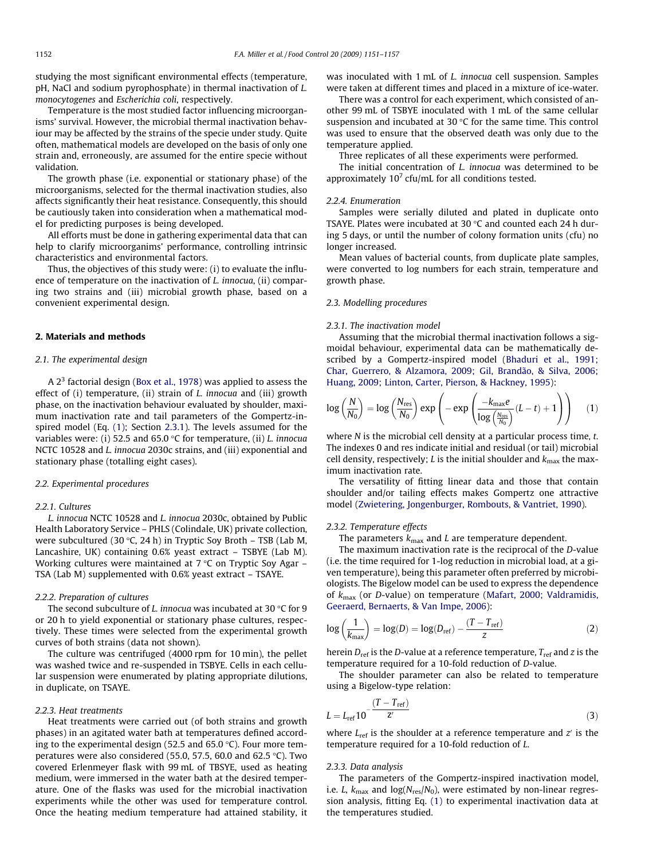<span id="page-1-0"></span>studying the most significant environmental effects (temperature, pH, NaCl and sodium pyrophosphate) in thermal inactivation of L. monocytogenes and Escherichia coli, respectively.

Temperature is the most studied factor influencing microorganisms' survival. However, the microbial thermal inactivation behaviour may be affected by the strains of the specie under study. Quite often, mathematical models are developed on the basis of only one strain and, erroneously, are assumed for the entire specie without validation.

The growth phase (i.e. exponential or stationary phase) of the microorganisms, selected for the thermal inactivation studies, also affects significantly their heat resistance. Consequently, this should be cautiously taken into consideration when a mathematical model for predicting purposes is being developed.

All efforts must be done in gathering experimental data that can help to clarify microorganims' performance, controlling intrinsic characteristics and environmental factors.

Thus, the objectives of this study were: (i) to evaluate the influence of temperature on the inactivation of L. innocua, (ii) comparing two strains and (iii) microbial growth phase, based on a convenient experimental design.

## 2. Materials and methods

## 2.1. The experimental design

A  $2<sup>3</sup>$  factorial design ([Box et al., 1978\)](#page-5-0) was applied to assess the effect of (i) temperature, (ii) strain of *L. innocua* and (iii) growth phase, on the inactivation behaviour evaluated by shoulder, maximum inactivation rate and tail parameters of the Gompertz-inspired model (Eq. (1); Section 2.3.1). The levels assumed for the variables were: (i) 52.5 and 65.0 °C for temperature, (ii) L. innocua NCTC 10528 and L. innocua 2030c strains, and (iii) exponential and stationary phase (totalling eight cases).

## 2.2. Experimental procedures

## 2.2.1. Cultures

L. innocua NCTC 10528 and L. innocua 2030c, obtained by Public Health Laboratory Service – PHLS (Colindale, UK) private collection, were subcultured (30 °C, 24 h) in Tryptic Soy Broth – TSB (Lab M, Lancashire, UK) containing 0.6% yeast extract – TSBYE (Lab M). Working cultures were maintained at 7 °C on Tryptic Soy Agar – TSA (Lab M) supplemented with 0.6% yeast extract – TSAYE.

#### 2.2.2. Preparation of cultures

The second subculture of L. innocua was incubated at 30 °C for 9 or 20 h to yield exponential or stationary phase cultures, respectively. These times were selected from the experimental growth curves of both strains (data not shown).

The culture was centrifuged (4000 rpm for 10 min), the pellet was washed twice and re-suspended in TSBYE. Cells in each cellular suspension were enumerated by plating appropriate dilutions, in duplicate, on TSAYE.

#### 2.2.3. Heat treatments

Heat treatments were carried out (of both strains and growth phases) in an agitated water bath at temperatures defined according to the experimental design (52.5 and 65.0 °C). Four more temperatures were also considered (55.0, 57.5, 60.0 and 62.5 °C). Two covered Erlenmeyer flask with 99 mL of TBSYE, used as heating medium, were immersed in the water bath at the desired temperature. One of the flasks was used for the microbial inactivation experiments while the other was used for temperature control. Once the heating medium temperature had attained stability, it was inoculated with 1 mL of L. innocua cell suspension. Samples were taken at different times and placed in a mixture of ice-water.

There was a control for each experiment, which consisted of another 99 mL of TSBYE inoculated with 1 mL of the same cellular suspension and incubated at 30  $\degree$ C for the same time. This control was used to ensure that the observed death was only due to the temperature applied.

Three replicates of all these experiments were performed.

The initial concentration of L. innocua was determined to be approximately  $10<sup>7</sup>$  cfu/mL for all conditions tested.

# 2.2.4. Enumeration

Samples were serially diluted and plated in duplicate onto TSAYE. Plates were incubated at 30  $\degree$ C and counted each 24 h during 5 days, or until the number of colony formation units (cfu) no longer increased.

Mean values of bacterial counts, from duplicate plate samples, were converted to log numbers for each strain, temperature and growth phase.

# 2.3. Modelling procedures

#### 2.3.1. The inactivation model

Assuming that the microbial thermal inactivation follows a sigmoidal behaviour, experimental data can be mathematically described by a Gompertz-inspired model [\(Bhaduri et al., 1991;](#page-5-0) [Char, Guerrero, & Alzamora, 2009; Gil, Brandão, & Silva, 2006;](#page-5-0) [Huang, 2009; Linton, Carter, Pierson, & Hackney, 1995](#page-5-0)):

$$
\log\left(\frac{N}{N_0}\right) = \log\left(\frac{N_{\text{res}}}{N_0}\right) \exp\left(-\exp\left(\frac{-k_{\text{max}}e}{\log\left(\frac{N_{\text{res}}}{N_0}\right)}(L-t) + 1\right)\right) \tag{1}
$$

where N is the microbial cell density at a particular process time, t. The indexes 0 and res indicate initial and residual (or tail) microbial cell density, respectively; L is the initial shoulder and  $k_{\text{max}}$  the maximum inactivation rate.

The versatility of fitting linear data and those that contain shoulder and/or tailing effects makes Gompertz one attractive model [\(Zwietering, Jongenburger, Rombouts, & Vantriet, 1990](#page-6-0)).

## 2.3.2. Temperature effects

The parameters  $k_{\text{max}}$  and L are temperature dependent.

The maximum inactivation rate is the reciprocal of the D-value (i.e. the time required for 1-log reduction in microbial load, at a given temperature), being this parameter often preferred by microbiologists. The Bigelow model can be used to express the dependence of  $k_{\text{max}}$  (or D-value) on temperature [\(Mafart, 2000; Valdramidis,](#page-5-0) [Geeraerd, Bernaerts, & Van Impe, 2006](#page-5-0)):

$$
\log\left(\frac{1}{k_{\text{max}}}\right) = \log(D) = \log(D_{\text{ref}}) - \frac{(T - T_{\text{ref}})}{z}
$$
 (2)

herein  $D_{ref}$  is the D-value at a reference temperature,  $T_{ref}$  and z is the temperature required for a 10-fold reduction of D-value.

The shoulder parameter can also be related to temperature using a Bigelow-type relation:

$$
L = L_{\text{ref}} 10^{-\frac{(T - T_{\text{ref}})}{Z'}} \tag{3}
$$

where  $L_{ref}$  is the shoulder at a reference temperature and  $z<sup>i</sup>$  is the temperature required for a 10-fold reduction of L.

#### 2.3.3. Data analysis

The parameters of the Gompertz-inspired inactivation model, i.e. *L*,  $k_{\text{max}}$  and  $\log(N_{\text{res}}/N_0)$ , were estimated by non-linear regression analysis, fitting Eq. (1) to experimental inactivation data at the temperatures studied.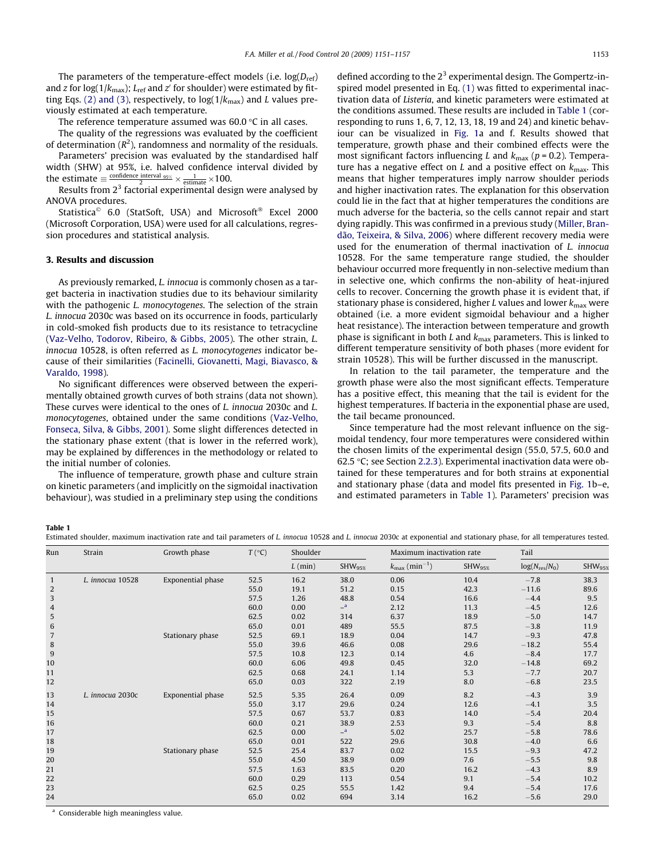The parameters of the temperature-effect models (i.e.  $log(D_{ref})$ ) and z for log(1/ $k_{\text{max}}$ ); L<sub>ref</sub> and z' for shoulder) were estimated by fit-ting Eqs. [\(2\) and \(3\),](#page-1-0) respectively, to  $log(1/k_{max})$  and L values previously estimated at each temperature.

The reference temperature assumed was 60.0 °C in all cases.

The quality of the regressions was evaluated by the coefficient of determination ( $R^2$ ), randomness and normality of the residuals.

Parameters' precision was evaluated by the standardised half width (SHW) at 95%, i.e. halved confidence interval divided by the estimate  $\equiv \frac{\text{confidence interval }_{95\%}}{2} \times \frac{1}{\text{estimate}} \times 100.$ 

Results from  $2<sup>3</sup>$  factorial experimental design were analysed by ANOVA procedures.

Statistica<sup>©</sup> 6.0 (StatSoft, USA) and Microsoft<sup>®</sup> Excel 2000 (Microsoft Corporation, USA) were used for all calculations, regression procedures and statistical analysis.

### 3. Results and discussion

As previously remarked, L. innocua is commonly chosen as a target bacteria in inactivation studies due to its behaviour similarity with the pathogenic *L. monocytogenes*. The selection of the strain L. innocua 2030c was based on its occurrence in foods, particularly in cold-smoked fish products due to its resistance to tetracycline ([Vaz-Velho, Todorov, Ribeiro, & Gibbs, 2005](#page-6-0)). The other strain, L. innocua 10528, is often referred as L. monocytogenes indicator because of their similarities [\(Facinelli, Giovanetti, Magi, Biavasco, &](#page-5-0) [Varaldo, 1998](#page-5-0)).

No significant differences were observed between the experimentally obtained growth curves of both strains (data not shown). These curves were identical to the ones of L. innocua 2030c and L. monocytogenes, obtained under the same conditions ([Vaz-Velho,](#page-6-0) [Fonseca, Silva, & Gibbs, 2001](#page-6-0)). Some slight differences detected in the stationary phase extent (that is lower in the referred work), may be explained by differences in the methodology or related to the initial number of colonies.

The influence of temperature, growth phase and culture strain on kinetic parameters (and implicitly on the sigmoidal inactivation behaviour), was studied in a preliminary step using the conditions defined according to the  $2<sup>3</sup>$  experimental design. The Gompertz-inspired model presented in Eq. [\(1\)](#page-1-0) was fitted to experimental inactivation data of Listeria, and kinetic parameters were estimated at the conditions assumed. These results are included in Table 1 (corresponding to runs 1, 6, 7, 12, 13, 18, 19 and 24) and kinetic behaviour can be visualized in [Fig. 1a](#page-3-0) and f. Results showed that temperature, growth phase and their combined effects were the most significant factors influencing L and  $k_{\text{max}}$  ( $p = 0.2$ ). Temperature has a negative effect on L and a positive effect on  $k_{\text{max}}$ . This means that higher temperatures imply narrow shoulder periods and higher inactivation rates. The explanation for this observation could lie in the fact that at higher temperatures the conditions are much adverse for the bacteria, so the cells cannot repair and start dying rapidly. This was confirmed in a previous study [\(Miller, Bran](#page-5-0)[dão, Teixeira, & Silva, 2006\)](#page-5-0) where different recovery media were used for the enumeration of thermal inactivation of L. innocua 10528. For the same temperature range studied, the shoulder behaviour occurred more frequently in non-selective medium than in selective one, which confirms the non-ability of heat-injured cells to recover. Concerning the growth phase it is evident that, if stationary phase is considered, higher L values and lower  $k_{\text{max}}$  were obtained (i.e. a more evident sigmoidal behaviour and a higher heat resistance). The interaction between temperature and growth phase is significant in both L and  $k_{\text{max}}$  parameters. This is linked to different temperature sensitivity of both phases (more evident for strain 10528). This will be further discussed in the manuscript.

In relation to the tail parameter, the temperature and the growth phase were also the most significant effects. Temperature has a positive effect, this meaning that the tail is evident for the highest temperatures. If bacteria in the exponential phase are used, the tail became pronounced.

Since temperature had the most relevant influence on the sigmoidal tendency, four more temperatures were considered within the chosen limits of the experimental design (55.0, 57.5, 60.0 and 62.5 -C; see Section [2.2.3\)](#page-1-0). Experimental inactivation data were obtained for these temperatures and for both strains at exponential and stationary phase (data and model fits presented in [Fig. 1b](#page-3-0)–e, and estimated parameters in Table 1). Parameters' precision was

Table 1

Estimated shoulder, maximum inactivation rate and tail parameters of L. innocua 10528 and L. innocua 2030c at exponential and stationary phase, for all temperatures tested.

| Run          | Strain           | Growth phase      | $T({}^{\circ}C)$ | Shoulder  |                    | Maximum inactivation rate             |              | Tail               |                    |
|--------------|------------------|-------------------|------------------|-----------|--------------------|---------------------------------------|--------------|--------------------|--------------------|
|              |                  |                   |                  | $L$ (min) | SHW <sub>95%</sub> | $k_{\text{max}}$ (min <sup>-1</sup> ) | $SHW_{95\%}$ | $log(N_{res}/N_0)$ | SHW <sub>953</sub> |
| $\mathbf{1}$ | L. innocua 10528 | Exponential phase | 52.5             | 16.2      | 38.0               | 0.06                                  | 10.4         | $-7.8$             | 38.3               |
| 2            |                  |                   | 55.0             | 19.1      | 51.2               | 0.15                                  | 42.3         | $-11.6$            | 89.6               |
| 3            |                  |                   | 57.5             | 1.26      | 48.8               | 0.54                                  | 16.6         | $-4.4$             | 9.5                |
| 4            |                  |                   | 60.0             | 0.00      | $a -$              | 2.12                                  | 11.3         | $-4.5$             | 12.6               |
| 5            |                  |                   | 62.5             | 0.02      | 314                | 6.37                                  | 18.9         | $-5.0$             | 14.7               |
| 6            |                  |                   | 65.0             | 0.01      | 489                | 55.5                                  | 87.5         | $-3.8$             | 11.9               |
| 7            |                  | Stationary phase  | 52.5             | 69.1      | 18.9               | 0.04                                  | 14.7         | $-9.3$             | 47.8               |
| 8            |                  |                   | 55.0             | 39.6      | 46.6               | 0.08                                  | 29.6         | $-18.2$            | 55.4               |
| 9            |                  |                   | 57.5             | 10.8      | 12.3               | 0.14                                  | 4.6          | $-8.4$             | 17.7               |
| 10           |                  |                   | 60.0             | 6.06      | 49.8               | 0.45                                  | 32.0         | $-14.8$            | 69.2               |
| 11           |                  |                   | 62.5             | 0.68      | 24.1               | 1.14                                  | 5.3          | $-7.7$             | 20.7               |
| 12           |                  |                   | 65.0             | 0.03      | 322                | 2.19                                  | 8.0          | $-6.8$             | 23.5               |
| 13           | L. innocua 2030c | Exponential phase | 52.5             | 5.35      | 26.4               | 0.09                                  | 8.2          | $-4.3$             | 3.9                |
| 14           |                  |                   | 55.0             | 3.17      | 29.6               | 0.24                                  | 12.6         | $-4.1$             | 3.5                |
| 15           |                  |                   | 57.5             | 0.67      | 53.7               | 0.83                                  | 14.0         | $-5.4$             | 20.4               |
| 16           |                  |                   | 60.0             | 0.21      | 38.9               | 2.53                                  | 9.3          | $-5.4$             | 8.8                |
| 17           |                  |                   | 62.5             | 0.00      | $a_{-}$            | 5.02                                  | 25.7         | $-5.8$             | 78.6               |
| 18           |                  |                   | 65.0             | 0.01      | 522                | 29.6                                  | 30.8         | $-4.0$             | 6.6                |
| 19           |                  | Stationary phase  | 52.5             | 25.4      | 83.7               | 0.02                                  | 15.5         | $-9.3$             | 47.2               |
| 20           |                  |                   | 55.0             | 4.50      | 38.9               | 0.09                                  | 7.6          | $-5.5$             | 9.8                |
| 21           |                  |                   | 57.5             | 1.63      | 83.5               | 0.20                                  | 16.2         | $-4.3$             | 8.9                |
| 22           |                  |                   | 60.0             | 0.29      | 113                | 0.54                                  | 9.1          | $-5.4$             | 10.2               |
| 23           |                  |                   | 62.5             | 0.25      | 55.5               | 1.42                                  | 9.4          | $-5.4$             | 17.6               |
| 24           |                  |                   | 65.0             | 0.02      | 694                | 3.14                                  | 16.2         | $-5.6$             | 29.0               |

<sup>a</sup> Considerable high meaningless value.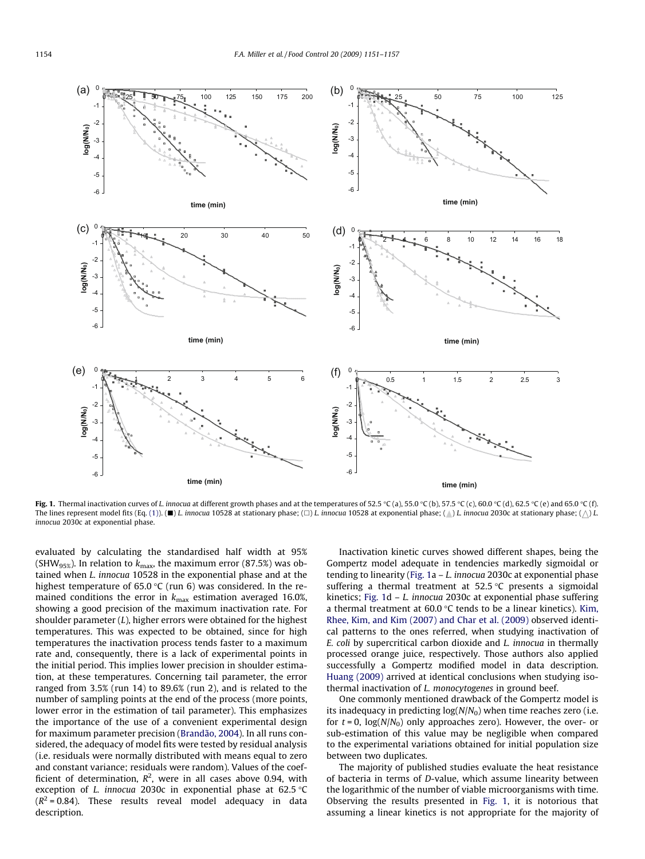<span id="page-3-0"></span>

**Fig. 1.** Thermal inactivation curves of *L.* innocua at different growth phases and at the temperatures of 52.5 °C (a), 55.0 °C (b), 57.5 °C (c), 60.0 °C (d), 62.5 °C (e) and 65.0 °C (f) The lines represent model fits (Eq. [\(1\)](#page-1-0)). ( $\blacksquare$ ) L. innocua 10528 at stationary phase; ( $\Box$ ) L. innocua 10528 at exponential phase; ( $\Diamond$ ) L. innocua 2030c at stationary phase; ( $\Diamond$ ) L. innocua 2030c at exponential phase.

evaluated by calculating the standardised half width at 95% (SHW<sub>95%</sub>). In relation to  $k_{\text{max}}$ , the maximum error (87.5%) was obtained when L. innocua 10528 in the exponential phase and at the highest temperature of 65.0 °C (run 6) was considered. In the remained conditions the error in  $k_{\text{max}}$  estimation averaged 16.0%, showing a good precision of the maximum inactivation rate. For shoulder parameter  $(L)$ , higher errors were obtained for the highest temperatures. This was expected to be obtained, since for high temperatures the inactivation process tends faster to a maximum rate and, consequently, there is a lack of experimental points in the initial period. This implies lower precision in shoulder estimation, at these temperatures. Concerning tail parameter, the error ranged from 3.5% (run 14) to 89.6% (run 2), and is related to the number of sampling points at the end of the process (more points, lower error in the estimation of tail parameter). This emphasizes the importance of the use of a convenient experimental design for maximum parameter precision ([Brandão, 2004\)](#page-5-0). In all runs considered, the adequacy of model fits were tested by residual analysis (i.e. residuals were normally distributed with means equal to zero and constant variance; residuals were random). Values of the coefficient of determination,  $R^2$ , were in all cases above 0.94, with exception of *L. innocua* 2030c in exponential phase at 62.5  $\degree$ C  $(R^2 = 0.84)$ . These results reveal model adequacy in data description.

Inactivation kinetic curves showed different shapes, being the Gompertz model adequate in tendencies markedly sigmoidal or tending to linearity (Fig. 1a  $-L$ . innocua 2030c at exponential phase suffering a thermal treatment at  $52.5^{\circ}$ C presents a sigmoidal kinetics; Fig. 1d – L. innocua 2030c at exponential phase suffering a thermal treatment at  $60.0$  °C tends to be a linear kinetics). [Kim,](#page-5-0) [Rhee, Kim, and Kim \(2007\) and Char et al. \(2009\)](#page-5-0) observed identical patterns to the ones referred, when studying inactivation of E. coli by supercritical carbon dioxide and L. innocua in thermally processed orange juice, respectively. Those authors also applied successfully a Gompertz modified model in data description. [Huang \(2009\)](#page-5-0) arrived at identical conclusions when studying isothermal inactivation of L. monocytogenes in ground beef.

One commonly mentioned drawback of the Gompertz model is its inadequacy in predicting  $log(N/N_0)$  when time reaches zero (i.e. for  $t = 0$ ,  $log(N/N_0)$  only approaches zero). However, the over- or sub-estimation of this value may be negligible when compared to the experimental variations obtained for initial population size between two duplicates.

The majority of published studies evaluate the heat resistance of bacteria in terms of D-value, which assume linearity between the logarithmic of the number of viable microorganisms with time. Observing the results presented in Fig. 1, it is notorious that assuming a linear kinetics is not appropriate for the majority of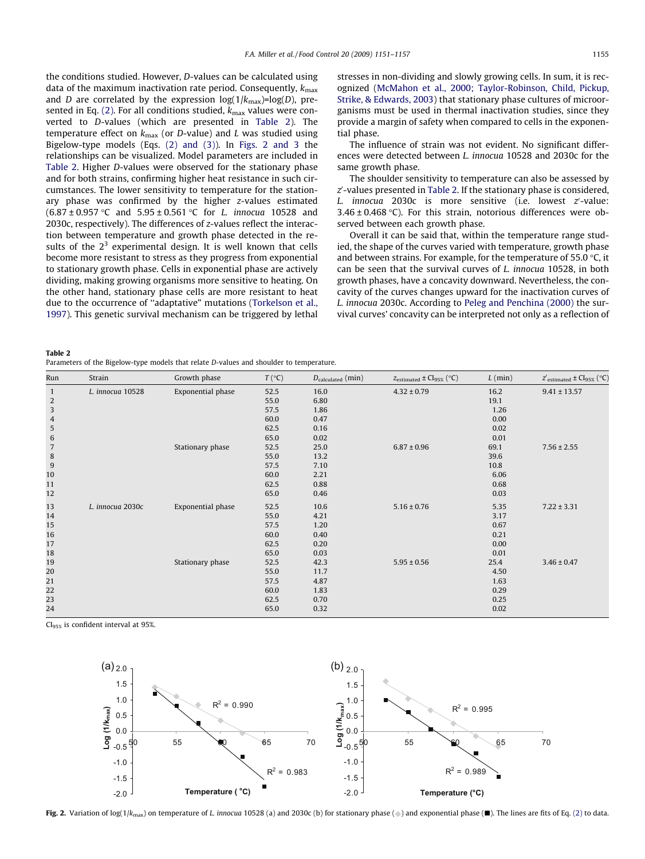the conditions studied. However, D-values can be calculated using data of the maximum inactivation rate period. Consequently,  $k_{\text{max}}$ and D are correlated by the expression  $log(1/k_{max})=log(D)$ , pre-sented in Eq. [\(2\).](#page-1-0) For all conditions studied,  $k_{\text{max}}$  values were converted to D-values (which are presented in Table 2). The temperature effect on  $k_{\text{max}}$  (or D-value) and L was studied using Bigelow-type models (Eqs. [\(2\) and \(3\)\)](#page-1-0). In Figs. 2 and 3 the relationships can be visualized. Model parameters are included in Table 2. Higher D-values were observed for the stationary phase and for both strains, confirming higher heat resistance in such circumstances. The lower sensitivity to temperature for the stationary phase was confirmed by the higher z-values estimated  $(6.87 \pm 0.957 \degree C$  and  $5.95 \pm 0.561 \degree C$  for L. innocua 10528 and 2030c, respectively). The differences of z-values reflect the interaction between temperature and growth phase detected in the results of the  $2<sup>3</sup>$  experimental design. It is well known that cells become more resistant to stress as they progress from exponential to stationary growth phase. Cells in exponential phase are actively dividing, making growing organisms more sensitive to heating. On the other hand, stationary phase cells are more resistant to heat due to the occurrence of ''adaptative" mutations [\(Torkelson et al.,](#page-6-0) [1997\)](#page-6-0). This genetic survival mechanism can be triggered by lethal stresses in non-dividing and slowly growing cells. In sum, it is recognized [\(McMahon et al., 2000; Taylor-Robinson, Child, Pickup,](#page-5-0) [Strike, & Edwards, 2003\)](#page-5-0) that stationary phase cultures of microorganisms must be used in thermal inactivation studies, since they provide a margin of safety when compared to cells in the exponential phase.

The influence of strain was not evident. No significant differences were detected between L. innocua 10528 and 2030c for the same growth phase.

The shoulder sensitivity to temperature can also be assessed by  $z^\prime$ -values presented in Table 2. If the stationary phase is considered,  $L.$  innocua 2030c is more sensitive (i.e. lowest  $z'$ -value:  $3.46 \pm 0.468$  °C). For this strain, notorious differences were observed between each growth phase.

Overall it can be said that, within the temperature range studied, the shape of the curves varied with temperature, growth phase and between strains. For example, for the temperature of 55.0 °C, it can be seen that the survival curves of L. innocua 10528, in both growth phases, have a concavity downward. Nevertheless, the concavity of the curves changes upward for the inactivation curves of L. innocua 2030c. According to [Peleg and Penchina \(2000\)](#page-5-0) the survival curves' concavity can be interpreted not only as a reflection of

Table 2

| Parameters of the Bigelow-type models that relate D-values and shoulder to temperature. |  |
|-----------------------------------------------------------------------------------------|--|
|-----------------------------------------------------------------------------------------|--|

| Run             | Strain           | Growth phase      | $T({}^{\circ}C)$ | $D_{calculated}$ (min) | $Z$ estimated $\pm$ Cl <sub>95%</sub> (°C) | $L$ (min) | $Z'$ estimated $\pm$ Cl95% ( $^{\circ}$ C) |
|-----------------|------------------|-------------------|------------------|------------------------|--------------------------------------------|-----------|--------------------------------------------|
| $\mathbf{1}$    | L. innocua 10528 | Exponential phase | 52.5             | 16.0                   | $4.32 \pm 0.79$                            | 16.2      | $9.41 \pm 13.57$                           |
| 2               |                  |                   | 55.0             | 6.80                   |                                            | 19.1      |                                            |
| $\mathbf{3}$    |                  |                   | 57.5             | 1.86                   |                                            | 1.26      |                                            |
| $\overline{4}$  |                  |                   | 60.0             | 0.47                   |                                            | 0.00      |                                            |
| $\mathbf 5$     |                  |                   | 62.5             | 0.16                   |                                            | 0.02      |                                            |
| $\sqrt{6}$      |                  |                   | 65.0             | 0.02                   |                                            | 0.01      |                                            |
| $7\overline{ }$ |                  | Stationary phase  | 52.5             | 25.0                   | $6.87 \pm 0.96$                            | 69.1      | $7.56 \pm 2.55$                            |
| 8               |                  |                   | 55.0             | 13.2                   |                                            | 39.6      |                                            |
| $9$             |                  |                   | 57.5             | 7.10                   |                                            | 10.8      |                                            |
| 10              |                  |                   | 60.0             | 2.21                   |                                            | 6.06      |                                            |
| 11              |                  |                   | 62.5             | 0.88                   |                                            | 0.68      |                                            |
| 12              |                  |                   | 65.0             | 0.46                   |                                            | 0.03      |                                            |
| 13              | L. innocua 2030c | Exponential phase | 52.5             | 10.6                   | $5.16 \pm 0.76$                            | 5.35      | $7.22 \pm 3.31$                            |
| 14              |                  |                   | 55.0             | 4.21                   |                                            | 3.17      |                                            |
| 15              |                  |                   | 57.5             | 1.20                   |                                            | 0.67      |                                            |
| 16              |                  |                   | 60.0             | 0.40                   |                                            | 0.21      |                                            |
| 17              |                  |                   | 62.5             | 0.20                   |                                            | 0.00      |                                            |
| 18              |                  |                   | 65.0             | 0.03                   |                                            | 0.01      |                                            |
| 19              |                  | Stationary phase  | 52.5             | 42.3                   | $5.95 \pm 0.56$                            | 25.4      | $3.46 \pm 0.47$                            |
| 20              |                  |                   | 55.0             | 11.7                   |                                            | 4.50      |                                            |
| 21              |                  |                   | 57.5             | 4.87                   |                                            | 1.63      |                                            |
| 22              |                  |                   | 60.0             | 1.83                   |                                            | 0.29      |                                            |
| 23              |                  |                   | 62.5             | 0.70                   |                                            | 0.25      |                                            |
| 24              |                  |                   | 65.0             | 0.32                   |                                            | 0.02      |                                            |
|                 |                  |                   |                  |                        |                                            |           |                                            |

CI95% is confident interval at 95%.

![](_page_4_Figure_10.jpeg)

Fig. 2. Variation of log(1/k<sub>max</sub>) on temperature of L. innocua 10528 (a) and 2030c (b) for stationary phase ( $\bullet$ ) and exponential phase ( $\blacksquare$ ). The lines are fits of Eq. [\(2\)](#page-1-0) to data.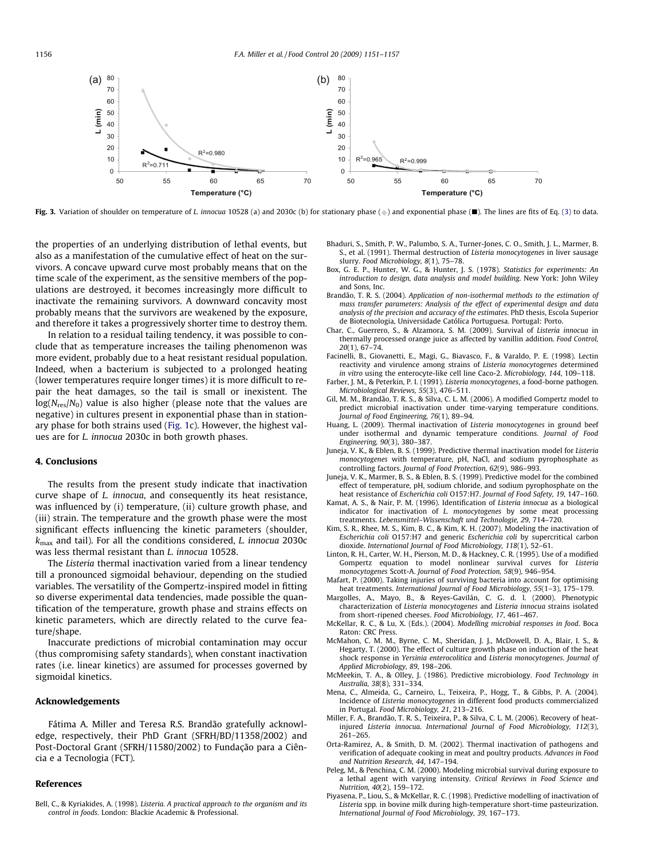<span id="page-5-0"></span>![](_page_5_Figure_1.jpeg)

Fig. 3. Variation of shoulder on temperature of L. innocua 10528 (a) and 2030c (b) for stationary phase (a) and exponential phase (a). The lines are fits of Eq. [\(3\)](#page-1-0) to data.

the properties of an underlying distribution of lethal events, but also as a manifestation of the cumulative effect of heat on the survivors. A concave upward curve most probably means that on the time scale of the experiment, as the sensitive members of the populations are destroyed, it becomes increasingly more difficult to inactivate the remaining survivors. A downward concavity most probably means that the survivors are weakened by the exposure, and therefore it takes a progressively shorter time to destroy them.

In relation to a residual tailing tendency, it was possible to conclude that as temperature increases the tailing phenomenon was more evident, probably due to a heat resistant residual population. Indeed, when a bacterium is subjected to a prolonged heating (lower temperatures require longer times) it is more difficult to repair the heat damages, so the tail is small or inexistent. The  $log(N_{res}/N_0)$  value is also higher (please note that the values are negative) in cultures present in exponential phase than in stationary phase for both strains used [\(Fig. 1](#page-3-0)c). However, the highest values are for L. innocua 2030c in both growth phases.

# 4. Conclusions

The results from the present study indicate that inactivation curve shape of L. innocua, and consequently its heat resistance, was influenced by (i) temperature, (ii) culture growth phase, and (iii) strain. The temperature and the growth phase were the most significant effects influencing the kinetic parameters (shoulder,  $k_{\text{max}}$  and tail). For all the conditions considered, *L. innocua* 2030c was less thermal resistant than L. innocua 10528.

The Listeria thermal inactivation varied from a linear tendency till a pronounced sigmoidal behaviour, depending on the studied variables. The versatility of the Gompertz-inspired model in fitting so diverse experimental data tendencies, made possible the quantification of the temperature, growth phase and strains effects on kinetic parameters, which are directly related to the curve feature/shape.

Inaccurate predictions of microbial contamination may occur (thus compromising safety standards), when constant inactivation rates (i.e. linear kinetics) are assumed for processes governed by sigmoidal kinetics.

## Acknowledgements

Fátima A. Miller and Teresa R.S. Brandão gratefully acknowledge, respectively, their PhD Grant (SFRH/BD/11358/2002) and Post-Doctoral Grant (SFRH/11580/2002) to Fundação para a Ciência e a Tecnologia (FCT).

# References

Bell, C., & Kyriakides, A. (1998). Listeria. A practical approach to the organism and its control in foods. London: Blackie Academic & Professional.

- Bhaduri, S., Smith, P. W., Palumbo, S. A., Turner-Jones, C. O., Smith, J. L., Marmer, B. S., et al. (1991). Thermal destruction of Listeria monocytogenes in liver sausage slurry. Food Microbiology, 8(1), 75–78.
- Box, G. E. P., Hunter, W. G., & Hunter, J. S. (1978). Statistics for experiments: An introduction to design, data analysis and model building. New York: John Wiley and Sons, Inc.
- Brandão, T. R. S. (2004). Application of non-isothermal methods to the estimation of mass transfer parameters: Analysis of the effect of experimental design and data analysis of the precision and accuracy of the estimates. PhD thesis, Escola Superior de Biotecnologia, Universidade Católica Portuguesa. Portugal: Porto.
- Char, C., Guerrero, S., & Alzamora, S. M. (2009). Survival of Listeria innocua in thermally processed orange juice as affected by vanillin addition. Food Control, 20(1), 67–74.
- Facinelli, B., Giovanetti, E., Magi, G., Biavasco, F., & Varaldo, P. E. (1998). Lectin reactivity and virulence among strains of Listeria monocytogenes determined in vitro using the enterocyte-like cell line Caco-2. Microbiology, 144, 109–118.
- Farber, J. M., & Peterkin, P. I. (1991). Listeria monocytogenes, a food-borne pathogen. Microbiological Reviews, 55(3), 476–511.
- Gil, M. M., Brandão, T. R. S., & Silva, C. L. M. (2006). A modified Gompertz model to predict microbial inactivation under time-varying temperature conditions. Journal of Food Engineering, 76(1), 89–94.
- Huang, L. (2009). Thermal inactivation of Listeria monocytogenes in ground beef under isothermal and dynamic temperature conditions. Journal of Food Engineering, 90(3), 380–387.
- Juneja, V. K., & Eblen, B. S. (1999). Predictive thermal inactivation model for Listeria monocytogenes with temperature, pH, NaCl, and sodium pyrophosphate as controlling factors. Journal of Food Protection, 62(9), 986–993.
- Juneja, V. K., Marmer, B. S., & Eblen, B. S. (1999). Predictive model for the combined effect of temperature, pH, sodium chloride, and sodium pyrophosphate on the heat resistance of Escherichia coli O157:H7. Journal of Food Safety, 19, 147–160.
- Kamat, A. S., & Nair, P. M. (1996). Identification of Listeria innocua as a biological indicator for inactivation of L. monocytogenes by some meat processing treatments. Lebensmittel–Wissenschaft und Technologie, 29, 714–720.
- Kim, S. R., Rhee, M. S., Kim, B. C., & Kim, K. H. (2007). Modeling the inactivation of Escherichia coli O157:H7 and generic Escherichia coli by supercritical carbon dioxide. International Journal of Food Microbiology, 118(1), 52–61.
- Linton, R. H., Carter, W. H., Pierson, M. D., & Hackney, C. R. (1995). Use of a modified Gompertz equation to model nonlinear survival curves for Listeria monocytogenes Scott-A. Journal of Food Protection, 58(9), 946–954.
- Mafart, P. (2000). Taking injuries of surviving bacteria into account for optimising heat treatments. International Journal of Food Microbiology, 55(1-3), 175-179.
- Margolles, A., Mayo, B., & Reyes-Gavilán, C. G. d. l. (2000). Phenotypic characterization of Listeria monocytogenes and Listeria innocua strains isolated from short-ripened cheeses. Food Microbiology, 17, 461–467.
- McKellar, R. C., & Lu, X. (Eds.). (2004). Modelling microbial responses in food. Boca Raton: CRC Press.
- McMahon, C. M. M., Byrne, C. M., Sheridan, J. J., McDowell, D. A., Blair, I. S., & Hegarty, T. (2000). The effect of culture growth phase on induction of the heat shock response in Yersinia enterocolitica and Listeria monocytogenes. Journal of Applied Microbiology, 89, 198–206.
- McMeekin, T. A., & Olley, J. (1986). Predictive microbiology. Food Technology in Australia, 38(8), 331–334.
- Mena, C., Almeida, G., Carneiro, L., Teixeira, P., Hogg, T., & Gibbs, P. A. (2004). Incidence of Listeria monocytogenes in different food products commercialized in Portugal. Food Microbiology, 21, 213–216.
- Miller, F. A., Brandão, T. R. S., Teixeira, P., & Silva, C. L. M. (2006). Recovery of heatinjured Listeria innocua. International Journal of Food Microbiology, 112(3), 261–265.
- Orta-Ramirez, A., & Smith, D. M. (2002). Thermal inactivation of pathogens and verification of adequate cooking in meat and poultry products. Advances in Food and Nutrition Research, 44, 147–194.
- Peleg, M., & Penchina, C. M. (2000). Modeling microbial survival during exposure to a lethal agent with varying intensity. Critical Reviews in Food Science and Nutrition, 40(2), 159–172.
- Piyasena, P., Liou, S., & McKellar, R. C. (1998). Predictive modelling of inactivation of Listeria spp. in bovine milk during high-temperature short-time pasteurization. International Journal of Food Microbiology, 39, 167–173.